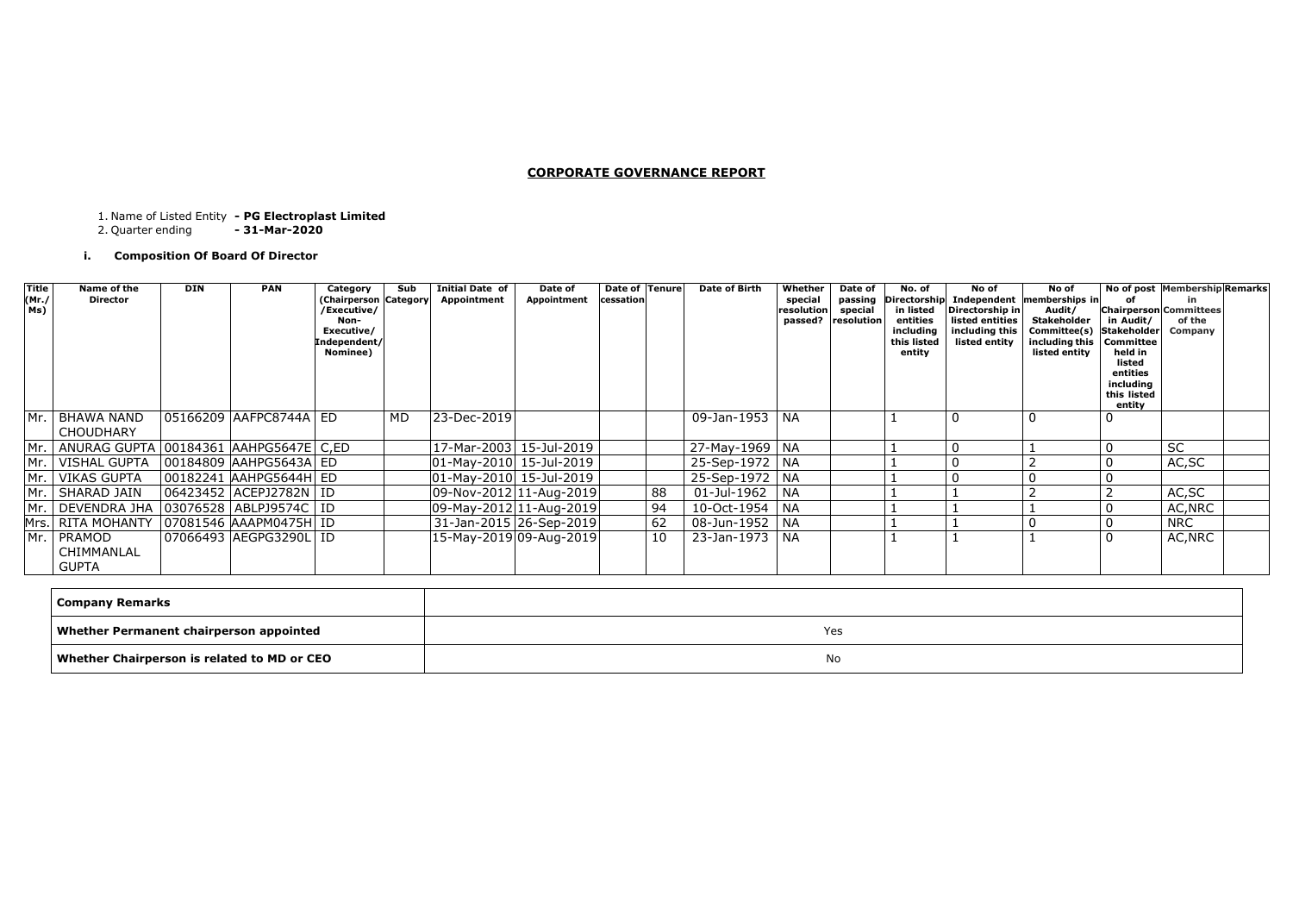### **CORPORATE GOVERNANCE REPORT**

1. Name of Listed Entity **- PG Electroplast Limited**

2. Quarter ending **- 31-Mar-2020**

## **i. Composition Of Board Of Director**

| Company Remarks                                |     |
|------------------------------------------------|-----|
| <b>Whether Permanent chairperson appointed</b> | Yes |
| Whether Chairperson is related to MD or CEO    | No. |

| Title<br>(Mr./<br>Ms) | Name of the<br><b>Director</b>                    | <b>DIN</b> | <b>PAN</b>               | Category<br>(Chairperson Category<br>/Executive/<br>Non-<br>Executive/<br>Independent/<br>Nominee) | Sub       | <b>Initial Date of</b><br>Appointment | Date of<br>Appointment | Date of Tenure<br>cessation |    | <b>Date of Birth</b> | Whether<br>special<br>resolution | Date of<br>passing<br>special<br>passed?   resolution | No. of<br>in listed<br>entities<br>including<br>this listed<br>entity | No of<br>Directorship in<br>listed entities<br>including this<br>listed entity | No of<br>Directorship Independent memberships in<br>Audit/<br><b>Stakeholder</b><br>Committee(s) Stakeholder<br>including this   Committee<br>listed entity | in Audit/<br>held in<br>listed<br>entities<br>including<br>this listed<br>entity | No of post Membership Remarks<br>in.<br><b>Chairperson Committees</b><br>of the<br>Company |
|-----------------------|---------------------------------------------------|------------|--------------------------|----------------------------------------------------------------------------------------------------|-----------|---------------------------------------|------------------------|-----------------------------|----|----------------------|----------------------------------|-------------------------------------------------------|-----------------------------------------------------------------------|--------------------------------------------------------------------------------|-------------------------------------------------------------------------------------------------------------------------------------------------------------|----------------------------------------------------------------------------------|--------------------------------------------------------------------------------------------|
|                       | Mr. BHAWA NAND<br><b>CHOUDHARY</b>                |            | 05166209 AAFPC8744A   ED |                                                                                                    | <b>MD</b> | 23-Dec-2019                           |                        |                             |    | 09-Jan-1953   NA     |                                  |                                                       |                                                                       | $\overline{0}$                                                                 | $\mathbf 0$                                                                                                                                                 |                                                                                  |                                                                                            |
|                       | Mr.   ANURAG GUPTA   00184361   AAHPG5647E   C,ED |            |                          |                                                                                                    |           | 17-Mar-2003 15-Jul-2019               |                        |                             |    | 27-May-1969   NA     |                                  |                                                       |                                                                       |                                                                                |                                                                                                                                                             |                                                                                  | <b>SC</b>                                                                                  |
|                       | Mr.   VISHAL GUPTA                                |            | 00184809 AAHPG5643A ED   |                                                                                                    |           | 01-May-2010 15-Jul-2019               |                        |                             |    | 25-Sep-1972   NA     |                                  |                                                       |                                                                       |                                                                                |                                                                                                                                                             |                                                                                  | AC, SC                                                                                     |
|                       | Mr.   VIKAS GUPTA                                 |            | 00182241 AAHPG5644H ED   |                                                                                                    |           | 01-May-2010 15-Jul-2019               |                        |                             |    | 25-Sep-1972   NA     |                                  |                                                       |                                                                       |                                                                                |                                                                                                                                                             |                                                                                  |                                                                                            |
|                       | Mr.   SHARAD JAIN                                 |            | 06423452 ACEPJ2782N   ID |                                                                                                    |           | 09-Nov-2012 11-Aug-2019               |                        |                             | 88 | 01-Jul-1962          | NA                               |                                                       |                                                                       |                                                                                |                                                                                                                                                             |                                                                                  | AC, SC                                                                                     |
|                       | Mr.   DEVENDRA JHA  03076528  ABLPJ9574C   ID     |            |                          |                                                                                                    |           | $ 09$ -May-2012 11-Aug-2019           |                        |                             | 94 | 10-Oct-1954   NA     |                                  |                                                       |                                                                       |                                                                                |                                                                                                                                                             |                                                                                  | AC, NRC                                                                                    |
|                       | Mrs. RITA MOHANTY                                 |            | 07081546 AAAPM0475H ID   |                                                                                                    |           | 31-Jan-2015 26-Sep-2019               |                        |                             | 62 | 08-Jun-1952   NA     |                                  |                                                       |                                                                       |                                                                                |                                                                                                                                                             |                                                                                  | <b>NRC</b>                                                                                 |
|                       | Mr. PRAMOD<br>CHIMMANLAL<br>GUPTA                 |            | 07066493 AEGPG3290L ID   |                                                                                                    |           | 15-May-2019 09-Aug-2019               |                        |                             | 10 | 23-Jan-1973          | <b>NA</b>                        |                                                       |                                                                       |                                                                                |                                                                                                                                                             | $\Omega$                                                                         | AC, NRC                                                                                    |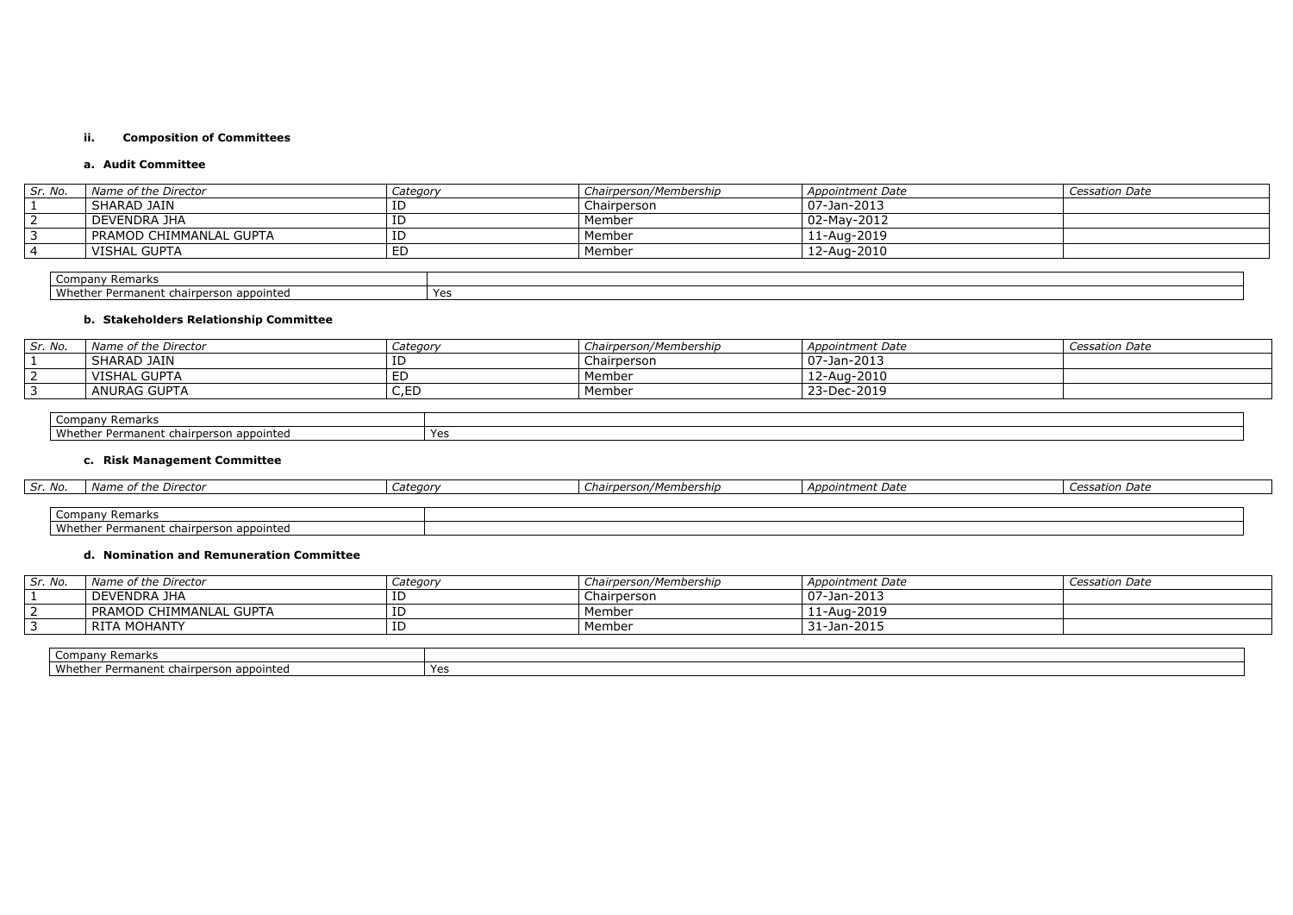#### **ii. Composition of Committees**

### **a. Audit Committee**

Company Remarks Whether Permanent chairperson appointed Yes

| Sr. No. | Name of the Director    | Category | Chairperson/Membership | Appointment Date | <b>Cessation Date</b> |
|---------|-------------------------|----------|------------------------|------------------|-----------------------|
|         | SHARAD JAIN             | ID       | Chairperson            | 07-Jan-2013      |                       |
|         | l DEVENDRA JHA          | ID       | Member                 | 02-May-2012      |                       |
|         | PRAMOD CHIMMANLAL GUPTA | ID       | Member                 | 11-Aug-2019      |                       |
|         | VISHAL GUPTA            | ED       | Member                 | 12-Aug-2010      |                       |
|         |                         |          |                        |                  |                       |

## **b. Stakeholders Relationship Committee**

| Sr. No. | Name of the Director | Category | Chairperson/Membership | Appointment Date   | <b>Cessation Date</b> |  |  |  |
|---------|----------------------|----------|------------------------|--------------------|-----------------------|--|--|--|
|         | SHARAD JAIN          | ID       | Chairperson            | $ 07 - Jan - 2013$ |                       |  |  |  |
|         | VISHAL GUPTA         | ED       | Member                 | 12-Aug-2010        |                       |  |  |  |
|         | <b>ANURAG GUPTA</b>  | C,EC     | Member                 | 23-Dec-2019        |                       |  |  |  |
|         |                      |          |                        |                    |                       |  |  |  |
|         | Company Remarks      |          |                        |                    |                       |  |  |  |

| Company<br>mark<br>Remarks                                                      |     |
|---------------------------------------------------------------------------------|-----|
| Whe<br><b>AIN1</b><br><br>mane<br>CD <sub>c</sub><br>nr<br><b>PUDUILLE</b><br>. | Yes |

## **c. Risk Management Committee**

| Sr. No.   | Name of the Director                    | Categor <sup>,</sup> | Chairperson/Membership | Appointment Date | <i>Cessation Date</i> |
|-----------|-----------------------------------------|----------------------|------------------------|------------------|-----------------------|
|           |                                         |                      |                        |                  |                       |
| <b>UU</b> | <sup>,</sup> Remarks<br>∴mpany∩         |                      |                        |                  |                       |
|           | Whether Permanent chairperson appointed |                      |                        |                  |                       |

#### **d. Nomination and Remuneration Committee**

| Sr. No. | Name of the Director    | Category | Chairperson/Membership | Appointment Date          | Cessation Date |
|---------|-------------------------|----------|------------------------|---------------------------|----------------|
|         | DEVENDRA JHA            |          | Chairperson            | $\frac{1}{2}$ 07-Jan-2013 |                |
|         | PRAMOD CHIMMANLAL GUPTA | ΙD       | Member                 | 11-Aug-2019               |                |
|         | <b>RITA MOHANTY</b>     | ΙĽ       | Member                 | 31-Jan-2015               |                |
|         |                         |          |                        |                           |                |
|         | Company Remarks         |          |                        |                           |                |

| v Remark .<br>' ompany۔                                     |        |
|-------------------------------------------------------------|--------|
| ۱۸/h۵۱<br>erson appointed<br>Permanent<br>.cnairp<br>nether | $V$ or |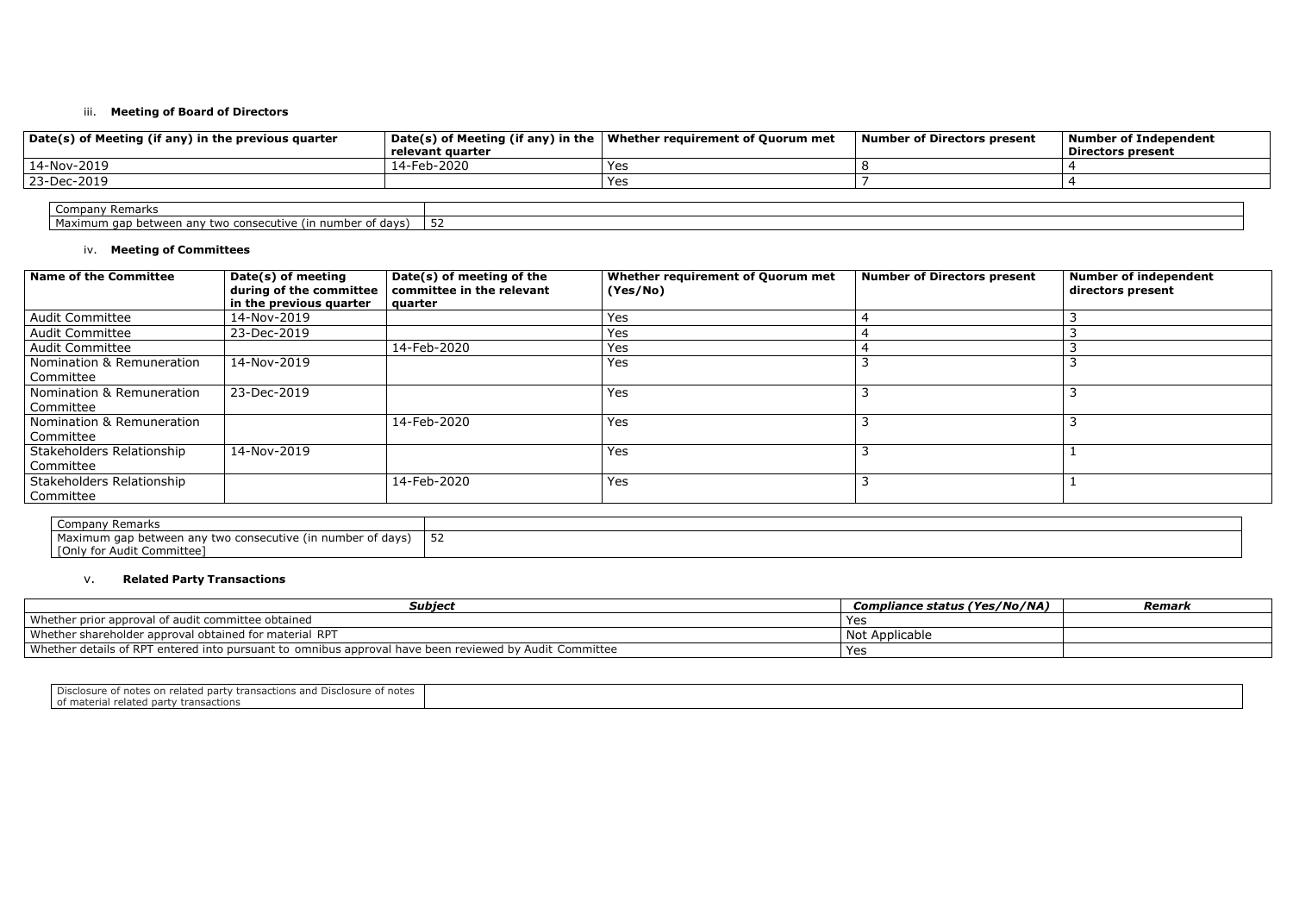#### iii. **Meeting of Board of Directors**

| Date(s) of Meeting (if any) in the previous quarter         | relevant quarter | Date(s) of Meeting (if any) in the   Whether requirement of Quorum met | Number of Directors present | Number of Independent<br><b>Directors present</b> |
|-------------------------------------------------------------|------------------|------------------------------------------------------------------------|-----------------------------|---------------------------------------------------|
| $14$ -Nov-2019                                              | 14-Feb-2020      | Yes                                                                    |                             |                                                   |
| 23-Dec-2019                                                 |                  | Yes                                                                    |                             |                                                   |
|                                                             |                  |                                                                        |                             |                                                   |
| <b>Company Remarks</b>                                      |                  |                                                                        |                             |                                                   |
| Maximum gap between any two consecutive (in number of days) | 52               |                                                                        |                             |                                                   |

| s present | <b>Number of Independent</b><br><b>Directors present</b> |  |  |  |  |  |
|-----------|----------------------------------------------------------|--|--|--|--|--|
|           |                                                          |  |  |  |  |  |
|           |                                                          |  |  |  |  |  |
|           |                                                          |  |  |  |  |  |
|           |                                                          |  |  |  |  |  |
|           |                                                          |  |  |  |  |  |

| Yes/No/NA) | Remark |
|------------|--------|
|            |        |
|            |        |
|            |        |
|            |        |

## iv. **Meeting of Committees**

| <b>Name of the Committee</b>           | Date(s) of meeting<br>during of the committee<br>in the previous quarter | Date(s) of meeting of the<br>committee in the relevant<br>  quarter | Whether requirement of Quorum met<br>(Yes/No) | <b>Number of Directors present</b> | <b>Number of independent</b><br>directors present |
|----------------------------------------|--------------------------------------------------------------------------|---------------------------------------------------------------------|-----------------------------------------------|------------------------------------|---------------------------------------------------|
| <b>Audit Committee</b>                 | 14-Nov-2019                                                              |                                                                     | <b>Yes</b>                                    |                                    |                                                   |
| <b>Audit Committee</b>                 | 23-Dec-2019                                                              |                                                                     | <b>Yes</b>                                    |                                    |                                                   |
| <b>Audit Committee</b>                 |                                                                          | 14-Feb-2020                                                         | Yes                                           |                                    |                                                   |
| Nomination & Remuneration<br>Committee | 14-Nov-2019                                                              |                                                                     | Yes                                           |                                    |                                                   |
| Nomination & Remuneration<br>Committee | 23-Dec-2019                                                              |                                                                     | <b>Yes</b>                                    |                                    |                                                   |
| Nomination & Remuneration<br>Committee |                                                                          | 14-Feb-2020                                                         | <b>Yes</b>                                    |                                    |                                                   |
| Stakeholders Relationship<br>Committee | 14-Nov-2019                                                              |                                                                     | Yes                                           |                                    |                                                   |
| Stakeholders Relationship<br>Committee |                                                                          | 14-Feb-2020                                                         | Yes                                           |                                    |                                                   |

| Company Remarks                                             |    |
|-------------------------------------------------------------|----|
| Maximum gap between any two consecutive (in number of days) | ےر |
| [ [Only for Audit Committee]                                |    |

## v. **Related Party Transactions**

| <b>Subject</b>                                                                                           | <b>Compliance status (Yes/No/NA)</b> | Remark |
|----------------------------------------------------------------------------------------------------------|--------------------------------------|--------|
| Whether prior approval of audit committee obtained                                                       | Yes                                  |        |
| Whether shareholder approval obtained for material RPT                                                   | Not Applicable                       |        |
| . Whether details of RPT entered into pursuant to omnibus approval have been reviewed by Audit Committee | Yes                                  |        |

| Disclosure of notes on related party transactions and Disclosure of<br>া notes |  |
|--------------------------------------------------------------------------------|--|
| of material related party transactions                                         |  |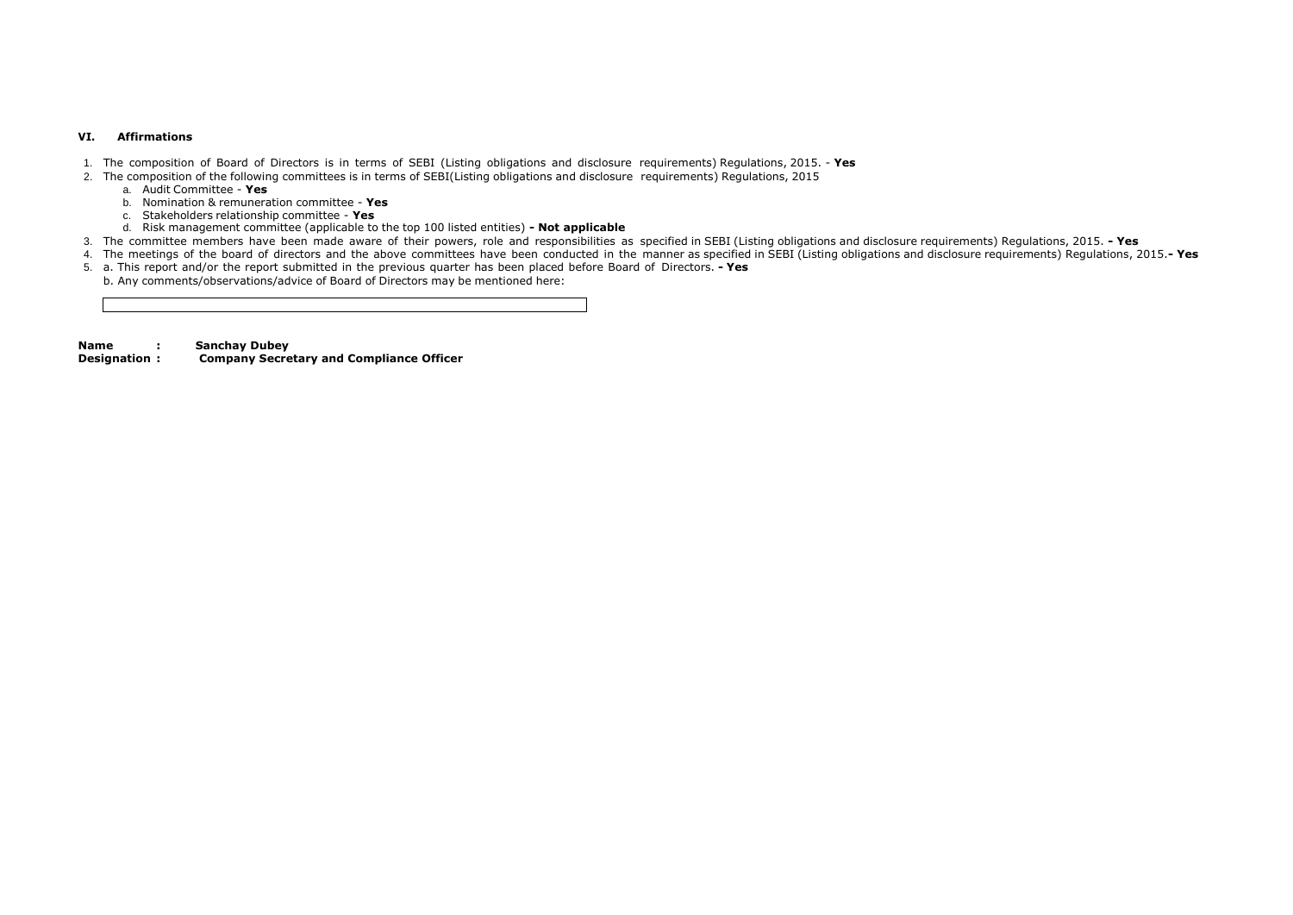#### **VI. Affirmations**

- 1. The composition of Board of Directors is in terms of SEBI (Listing obligations and disclosure requirements) Regulations, 2015. **Yes**
- 2. The composition of the following committees is in terms of SEBI(Listing obligations and disclosure requirements) Regulations, 2015
	- a. Audit Committee **Yes**
	- b. Nomination & remuneration committee **Yes**
	- c. Stakeholders relationship committee **Yes**
	- d. Risk management committee (applicable to the top 100 listed entities) **- Not applicable**
- 3. The committee members have been made aware of their powers, role and responsibilities as specified in SEBI (Listing obligations and disclosure requirements) Regulations, 2015. **- Yes**
- 4. The meetings of the board of directors and the above committees have been conducted in the manner as specified in SEBI (Listing obligations and disclosure requirements) Regulations, 2015.**- Yes**
- 5. a. This report and/or the report submitted in the previous quarter has been placed before Board of Directors. **- Yes** b. Any comments/observations/advice of Board of Directors may be mentioned here:

**Name : Sanchay Dubey**

**Designation : Company Secretary and Compliance Officer**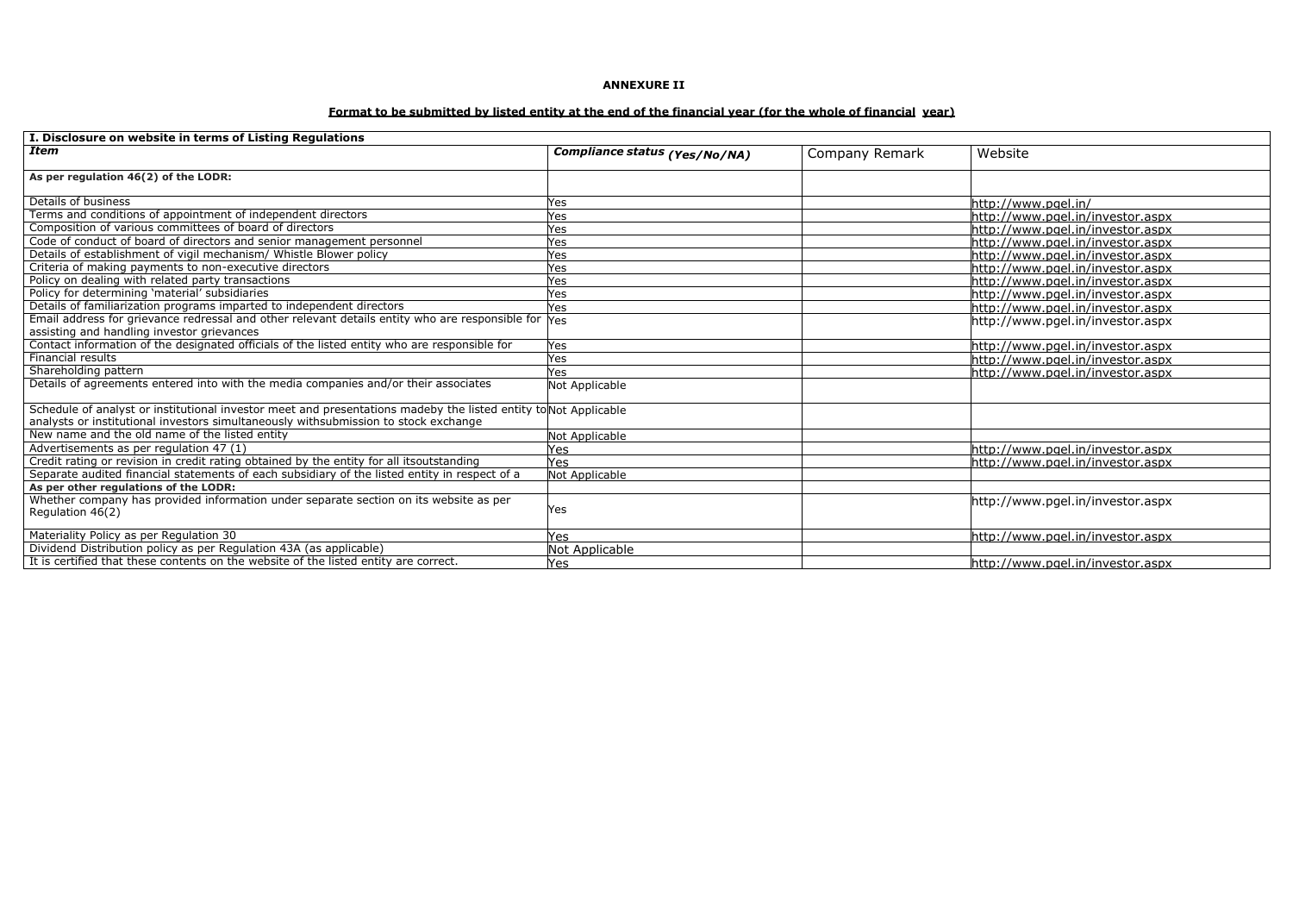#### **ANNEXURE II**

## Format to be submitted by listed entity at the end of the financial year (for the whole of financial year)

| I. Disclosure on website in terms of Listing Regulations                                                        |                               |                |                                  |
|-----------------------------------------------------------------------------------------------------------------|-------------------------------|----------------|----------------------------------|
| <b>Item</b>                                                                                                     | Compliance status (Yes/No/NA) | Company Remark | Website                          |
| As per regulation 46(2) of the LODR:                                                                            |                               |                |                                  |
|                                                                                                                 |                               |                |                                  |
| Details of business                                                                                             | Yes                           |                | http://www.pgel.in/              |
| Terms and conditions of appointment of independent directors                                                    | Yes                           |                | http://www.pgel.in/investor.aspx |
| Composition of various committees of board of directors                                                         | Yes                           |                | http://www.pgel.in/investor.aspx |
| Code of conduct of board of directors and senior management personnel                                           | Yes                           |                | http://www.pgel.in/investor.aspx |
| Details of establishment of vigil mechanism/ Whistle Blower policy                                              | <b>Yes</b>                    |                | http://www.pgel.in/investor.aspx |
| Criteria of making payments to non-executive directors                                                          | Yes                           |                | http://www.pgel.in/investor.aspx |
| Policy on dealing with related party transactions                                                               | Yes                           |                | http://www.pgel.in/investor.aspx |
| Policy for determining 'material' subsidiaries                                                                  | Yes                           |                | http://www.pgel.in/investor.aspx |
| Details of familiarization programs imparted to independent directors                                           | Yes                           |                | http://www.pgel.in/investor.aspx |
| Email address for grievance redressal and other relevant details entity who are responsible for Yes             |                               |                | http://www.pgel.in/investor.aspx |
| assisting and handling investor grievances                                                                      |                               |                |                                  |
| Contact information of the designated officials of the listed entity who are responsible for                    | Yes                           |                | http://www.pgel.in/investor.aspx |
| Financial results                                                                                               | Yes                           |                | http://www.pgel.in/investor.aspx |
| Shareholding pattern                                                                                            | Yes                           |                | http://www.pgel.in/investor.aspx |
| Details of agreements entered into with the media companies and/or their associates                             | Not Applicable                |                |                                  |
| Schedule of analyst or institutional investor meet and presentations madeby the listed entity to Not Applicable |                               |                |                                  |
| analysts or institutional investors simultaneously withsubmission to stock exchange                             |                               |                |                                  |
| New name and the old name of the listed entity                                                                  | Not Applicable                |                |                                  |
| Advertisements as per regulation 47 (1)                                                                         | Yes                           |                | http://www.pgel.in/investor.aspx |
| Credit rating or revision in credit rating obtained by the entity for all itsoutstanding                        | Yes                           |                | http://www.pgel.in/investor.aspx |
| Separate audited financial statements of each subsidiary of the listed entity in respect of a                   | Not Applicable                |                |                                  |
| As per other regulations of the LODR:                                                                           |                               |                |                                  |
| Whether company has provided information under separate section on its website as per                           |                               |                | http://www.pgel.in/investor.aspx |
| Regulation 46(2)                                                                                                | Yes                           |                |                                  |
| Materiality Policy as per Regulation 30                                                                         | Yes                           |                | http://www.pgel.in/investor.aspx |
| Dividend Distribution policy as per Regulation 43A (as applicable)                                              | Not Applicable                |                |                                  |
| It is certified that these contents on the website of the listed entity are correct.                            | Yes                           |                | http://www.pgel.in/investor.aspx |

http://www.pgel.in/investor.aspx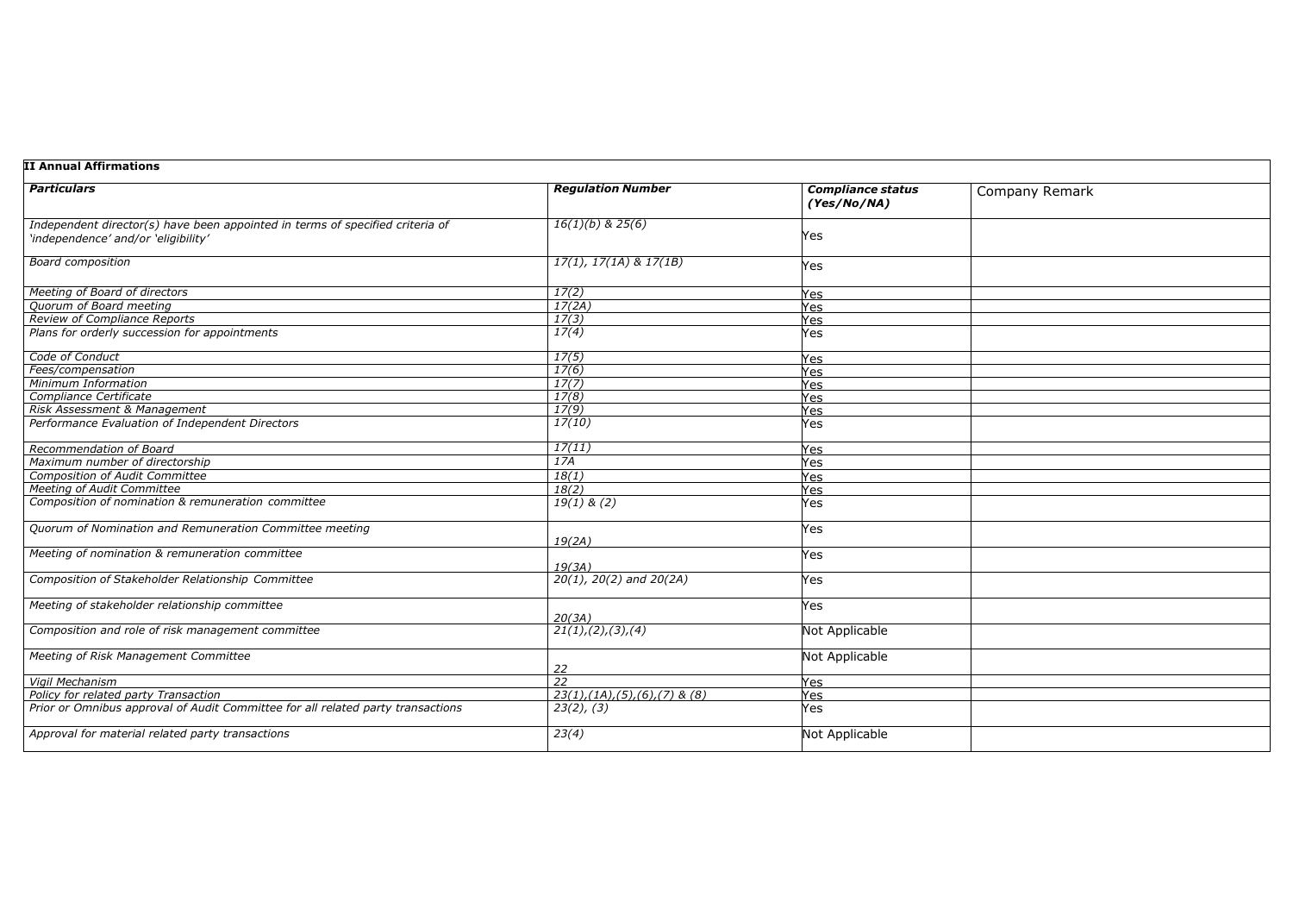| <b>Company Remark</b> |  |  |
|-----------------------|--|--|
|                       |  |  |
|                       |  |  |
|                       |  |  |
|                       |  |  |
|                       |  |  |
|                       |  |  |
|                       |  |  |
|                       |  |  |
|                       |  |  |
|                       |  |  |
|                       |  |  |
|                       |  |  |
|                       |  |  |
|                       |  |  |
|                       |  |  |
|                       |  |  |
|                       |  |  |
|                       |  |  |
|                       |  |  |
|                       |  |  |
|                       |  |  |
|                       |  |  |
|                       |  |  |

| <b>Particulars</b>                                                              | <b>Regulation Number</b>                         | <b>Compliance status</b><br>(Yes/No/NA) |
|---------------------------------------------------------------------------------|--------------------------------------------------|-----------------------------------------|
| Independent director(s) have been appointed in terms of specified criteria of   | $16(1)(b)$ & 25(6)                               |                                         |
| 'independence' and/or 'eligibility'                                             |                                                  | Yes                                     |
| <b>Board composition</b>                                                        | $17(1), 17(1A)$ & $17(1B)$                       | Yes                                     |
| Meeting of Board of directors                                                   | 17(2)                                            | Yes                                     |
| Quorum of Board meeting                                                         | 17(2A)                                           | Yes                                     |
| Review of Compliance Reports                                                    | 17(3)                                            | Yes                                     |
| Plans for orderly succession for appointments                                   | 17(4)                                            | Yes                                     |
| Code of Conduct                                                                 | 17(5)                                            | Yes                                     |
| Fees/compensation                                                               | 17(6)                                            | Yes                                     |
| Minimum Information                                                             | 17(7)                                            | <b>Yes</b>                              |
| Compliance Certificate                                                          | 17(8)                                            | Yes                                     |
| Risk Assessment & Management                                                    | 17(9)                                            | Yes                                     |
| Performance Evaluation of Independent Directors                                 | 17(10)                                           | Yes                                     |
| Recommendation of Board                                                         | 17(11)                                           | Yes                                     |
| Maximum number of directorship                                                  | 17A                                              | Yes                                     |
| <b>Composition of Audit Committee</b>                                           | 18(1)                                            | Yes                                     |
| <b>Meeting of Audit Committee</b>                                               | 18(2)                                            | Yes                                     |
| Composition of nomination & remuneration committee                              | $19(1)$ & (2)                                    | Yes                                     |
| Quorum of Nomination and Remuneration Committee meeting                         | 19(2A)                                           | Yes                                     |
| Meeting of nomination & remuneration committee                                  | 19(3A)                                           | Yes                                     |
| Composition of Stakeholder Relationship Committee                               | $20(1)$ , $20(2)$ and $20(2A)$                   | Yes                                     |
| Meeting of stakeholder relationship committee                                   | 20(3A)                                           | Yes                                     |
| Composition and role of risk management committee                               | 21(1), (2), (3), (4)                             | Not Applicable                          |
| Meeting of Risk Management Committee                                            | 22                                               | Not Applicable                          |
| <b>Vigil Mechanism</b>                                                          | 22                                               | Yes                                     |
| Policy for related party Transaction                                            | $23(1)$ , $(1A)$ , $(5)$ , $(6)$ , $(7)$ & $(8)$ | Yes                                     |
| Prior or Omnibus approval of Audit Committee for all related party transactions | 23(2), (3)                                       | Yes                                     |
| Approval for material related party transactions                                | 23(4)                                            | Not Applicable                          |